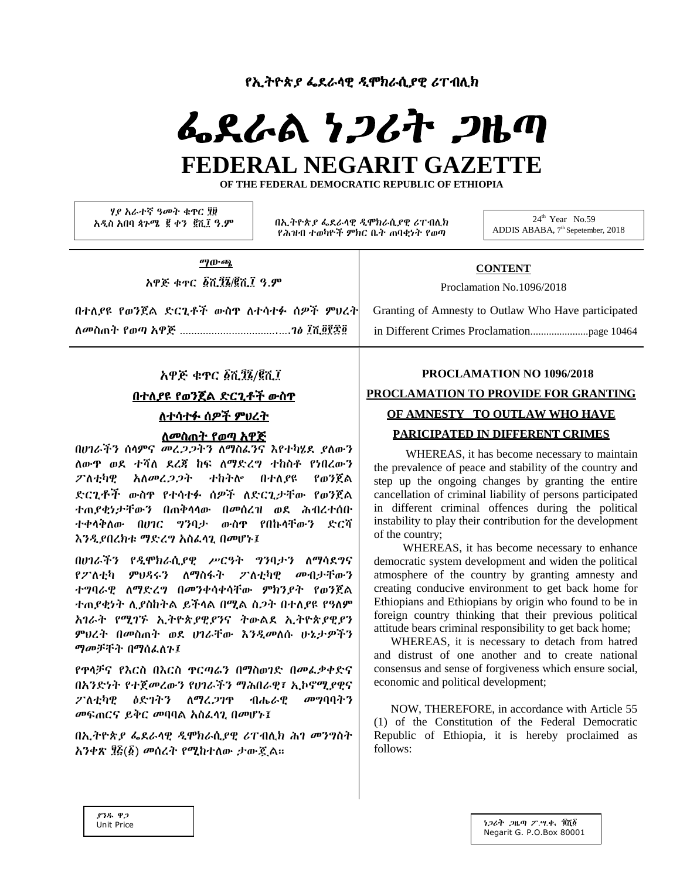የኢትዮጵ*ያ ፌ*ደራሳዊ *ዲ*ሞክራሲያዊ ሪፐብሊክ

# ፌደራል ነጋሪት ጋዜጣ FEDERAL NEGARIT GAZETTE

OF THE FEDERAL DEMOCRATIC REPUBLIC OF ETHIOPIA

ሃያ አራተኛ ዓመት ቁዋር ፂ፱ አዲስ አበባ ጳጉሜ ፪ ቀን ፪ሺ፤ ዓ.ም

በኢትዮጵያ ፌደራሳዊ ዲሞክራሲያዊ ሪፐብሊክ የሕዝብ ተወካዮች ምክር ቤት ጠባቂነት የወጣ

 $24^{\text{th}}$  Year No.59 ADDIS ABABA, 7th Sepetember, 2018

ማውጫ

አዋጅ ቁተር ፩ሺ፺፮/፪ሺ፲ ዓ.ም

በተለደዩ የወንጀል ድርጊቶች ውስዋ ለተሳተፉ ሰዎች ምሀረት 

# **CONTENT**

Proclamation No.1096/2018

Granting of Amnesty to Outlaw Who Have participated 

# አዋጅ ቁዋር ፩ሺ፺፮/፪ሺ፲

በተለያዩ የወንጀል ድርጊቶች ውስዋ ለተሳተፉ ሰዎች ምህረት

#### ለመስጠት የወጣ አዋጅ

በሀገራችን ሰላምና መረ*ጋጋ*ትን ለማስፌንና እየተካሄደ ያለውን ለውዋ ወደ ተሻለ ደረጃ ከፍ ለማድረግ ተከስቶ የነበረውን ፖለቲካዊ አለመረጋጋት ተከትሎ በተለየዩ የወንጀል ድርጊቶች ውስዋ የተሳተፉ ሰዎች ለድርጊታቸው የወንጀል ተጠያቂነታቸውን በጠቅሳሳው በመሰረዝ ወደ ሕብረተሰቡ ተቀላቅለው በሀገር ግንባታ ውስዋ የበኩላቸውን ድርሻ እንዲያበረክቱ ማድረግ አስፌሳጊ በመሆኑ፤

በሀገራችን የዲሞክራሲያዊ ሥርዓት ግንባታን ለማሳደግና የፖለቲካ ምህዳሩን ለማስፋት ፖለቲካዊ መብታቸውን ተግባራዊ ለማድረግ በመንቀሳቀሳቸው ምክንያት የወንጀል ተጠያቂነት ሲያስከትል ይችላል በሚል ስጋት በተለያዩ የዓለም አገራት የሚገኙ ኢትዮጵያዊያንና ትውልደ ኢትዮጵያዊያን ምህረት በመስጠት ወደ ሀገራቸው እንዲመስሱ ሁኔታዎችን ማመቻቸት በማሰፌለጉ፤

የዋላቻና የእርስ በእርስ ዋርጣሬን በማስወገድ በመፌቃቀድና በአንድነት የተጀመረውን የሀገራችን ማሕበራዊ፣ ኢኮኖሚያዊና ብሔራዊ ፖለቲካዊ ዕድገትን ለማረ*ጋ*ገዋ መግባባትን መፍጠርና ይቅር መባባል አስፌሳጊ በመሆኑ፤

በኢትዮጵያ ፌደራሳዊ ዲሞክራሲያዊ ሪፐብሊክ ሕገ መንግስት አንቀጽ ፶፩(፩) መሰረት የሚከተለው ታውጇል።

# PROCLAMATION NO 1096/2018 PROCLAMATION TO PROVIDE FOR GRANTING OF AMNESTY TO OUTLAW WHO HAVE PARICIPATED IN DIFFERENT CRIMES

WHEREAS, it has become necessary to maintain the prevalence of peace and stability of the country and step up the ongoing changes by granting the entire cancellation of criminal liability of persons participated in different criminal offences during the political instability to play their contribution for the development of the country:

WHEREAS, it has become necessary to enhance democratic system development and widen the political atmosphere of the country by granting amnesty and creating conducive environment to get back home for Ethiopians and Ethiopians by origin who found to be in foreign country thinking that their previous political attitude bears criminal responsibility to get back home;

WHEREAS, it is necessary to detach from hatred and distrust of one another and to create national consensus and sense of forgiveness which ensure social, economic and political development;

NOW, THEREFORE, in accordance with Article 55 (1) of the Constitution of the Federal Democratic Republic of Ethiopia, it is hereby proclaimed as  $follows$ 

**የንዱ ዋ** ን Unit Price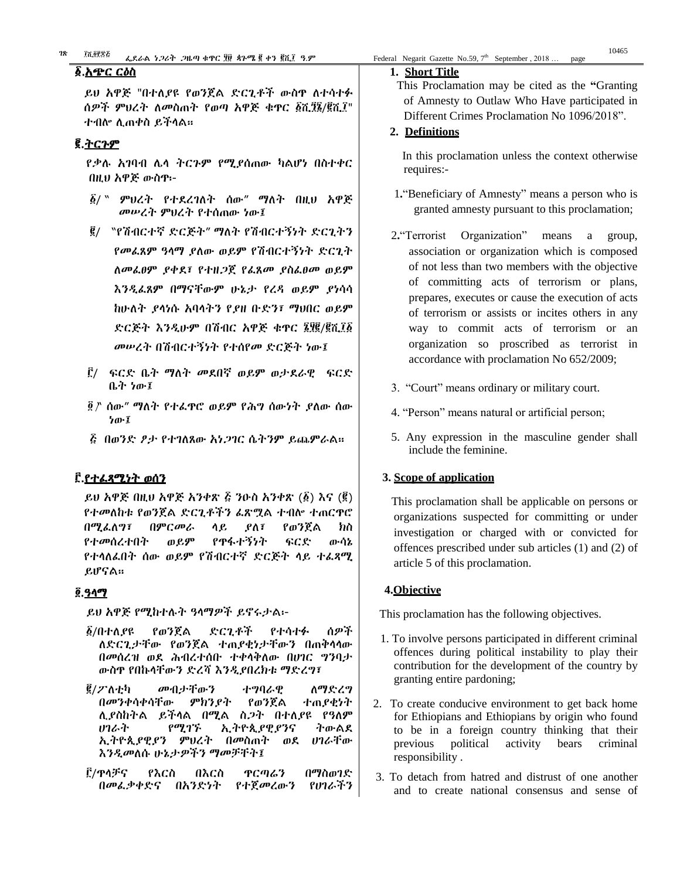#### ፩.<u>አጭር ርዕስ</u>

# ፪.ትርጉም

 የቃሉ አገባብ ሌላ ትርጉም የሚያሰጠው ካልሆነ በስተቀር በዚህ አዋጅ ውስጥ፡-

- ፩/ " ምህረት የተደረገለት ሰው" ማለት በዚህ አዋጅ መሠረት ምህረት የተሰጠው ነው፤
- ፪/ "የሽብርተኛ ድርጅት" ማለት የሽብርተኝነት ድርጊትን የመፈጸም ዓላማ ያለው ወይም የሽብርተኝነት ድርጊት ለመፈፀም ያቀደ፣ የተዘጋጀ የፈጸመ ያስፈፀመ ወይም እንዲፈጸም በማናቸውም ሁኔታ የረዳ ወይም ያነሳሳ ከሁለት ያላነሱ አባላትን የያዘ ቡድን፣ ማህበር ወይም ድርጅት እንዲሁም በሽብር አዋጅ ቁጥር ፮፶፪/፪ሺ፲፩ መሠረት በሽብርተኝነት የተሰየመ ድርጅት ነው፤
- ፫/ ፍርድ ቤት ማለት መደበኛ ወይም ወታደራዊ ፍርድ ቤት ነው፤
- ፬ " ሰው" ማለት የተፈጥሮ ወይም የሕግ ሰውነት ያለው ሰው ነው፤
- ፭ በወንድ ፆታ የተገለጸው አነጋገር ሴትንም ይጨምራል፡፡

# ፫.የተፈጻሚነት ወሰን

ይህ አዋጅ በዚህ አዋጅ አንቀጽ ፭ ንዑስ አንቀጽ (፩) እና (፪) የተመለከቱ የወንጀል ድርጊቶችን ፈጽሟል ተብሎ ተጠርጥሮ በሚፈለግ፣ በምርመራ ላይ ያለ፣ የወንጀል ክስ የተመሰረተበት ወይም የጥፋተኝነት ፍርድ ውሳኔ የተላለፈበት ሰው ወይም የሽብርተኛ ድርጅት ላይ ተፈጻሚ ይሆናል፡፡

# ፬.ዓላማ

ይህ አዋጅ የሚከተሉት ዓላማዎች ይኖሩታል፡-

- ፩/በተለያዩ የወንጀል ድርጊቶች የተሳተፉ ሰዎች ለድርጊታቸው የወንጀል ተጠያቂነታቸውን በጠቅላላው በመሰረዝ ወደ ሕብረተሰቡ ተቀላቅለው በሀገር ግንባታ ውስጥ የበኩላቸውን ድረሻ እንዲያበረክቱ ማድረግ፣
- ፪/ፖለቲካ መብታቸውን ተግባራዊ ለማድረግ በመንቀሳቀሳቸው ምክንያት የወንጀል ተጠያቂነት ሊያስከትል ይችላል በሚል ስጋት በተለያዩ የዓለም ሀገራት የሚገኙ ኢትዮጲያዊያንና ትውልደ ኢትዮጲያዊያን ምህረት በመስጠት ወደ ሀገራቸው እንዲመለሱ ሁኔታዎችን ማመቻቸት፤
- ፫/ጥላቻና የእርስ በእርስ ጥርጣሬን በማስወገድ በመፈቃቀድና በአንድነት የተጀመረውን የሀገራችን

#### **1. Short Title**

 This Proclamation may be cited as the **"**Granting of Amnesty to Outlaw Who Have participated in Different Crimes Proclamation No 1096/2018".

#### **2. Definitions**

 In this proclamation unless the context otherwise requires:-

- 1**.**"Beneficiary of Amnesty" means a person who is granted amnesty pursuant to this proclamation;
- 2**.**"Terrorist Organization" means a group, association or organization which is composed of not less than two members with the objective of committing acts of terrorism or plans, prepares, executes or cause the execution of acts of terrorism or assists or incites others in any way to commit acts of terrorism or an organization so proscribed as terrorist in accordance with proclamation No 652/2009;
- 3. "Court" means ordinary or military court.
- 4. "Person" means natural or artificial person;
- 5. Any expression in the masculine gender shall include the feminine.

# **3. Scope of application**

 This proclamation shall be applicable on persons or organizations suspected for committing or under investigation or charged with or convicted for offences prescribed under sub articles (1) and (2) of article 5 of this proclamation.

# **4.Objective**

This proclamation has the following objectives.

- 1. To involve persons participated in different criminal offences during political instability to play their contribution for the development of the country by granting entire pardoning;
- 2. To create conducive environment to get back home for Ethiopians and Ethiopians by origin who found to be in a foreign country thinking that their previous political activity bears criminal responsibility .
- 3. To detach from hatred and distrust of one another and to create national consensus and sense of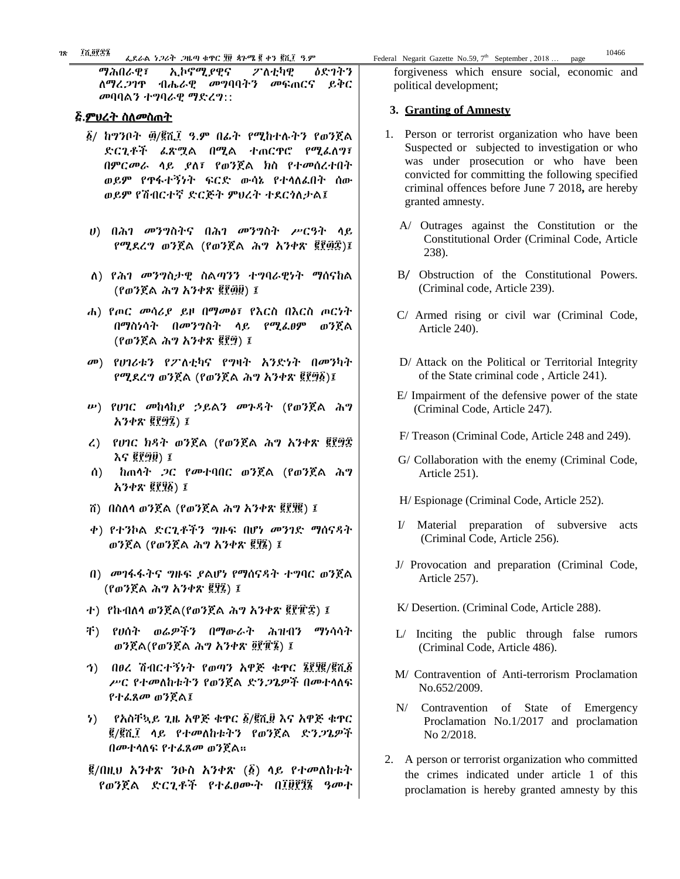Ød‰L ነጋ¶T ጋዜጣ qÜጥር ፶፱ ጳጉሜ ፪ qN ፪ሺ፲ ›.M Federal Negarit Gazette No.59, 7 ፲ሺ፬፻፷፮ 10466

ማሕበራዊ፣ ኢኮኖሚያዊና ፖለቲካዊ ዕድገትን ለማረጋገጥ ብሔራዊ መግባባትን መፍጠርና ይቅር መባባልን ተግባራዊ ማድረግ::

#### <u>፭.ምህረት ስለመስጠት</u>

- ፩/ ከግንቦት ፴/፪ሺ፲ ዓ.ም በፊት የሚከተሉትን የወንጀል ድርጊቶች ፈጽሟል በሚል ተጠርጥሮ የሚፈለግ፣ በምርመራ ላይ ያለ፣ የወንጀል ክስ የተመሰረተበት ወይም የጥፋተኝነት ፍርድ ውሳኔ የተላለፈበት ሰው ወይም የሽብርተኛ ድርጅት ምህረት ተደርጎለታል፤
- ሀ) በሕገ መንግስትና በሕገ መንግስት ሥርዓት ላይ የሚደረግ ወንጀል (የወንጀል ሕግ አንቀጽ ፪፻፴፰)፤
- ለ) የሕገ መንግስታዊ ስልጣንን ተግባራዊነት ማሰናከል (የወንጀል ሕግ አንቀጽ ፪፻፴፱) ፤
- ሐ) የጦር መሳሪያ ይዞ በማመፅ፣ የእርስ በእርስ ጦርነት በማስነሳት በመንግስት ላይ የሚፈፀም ወንጀል (የወንጀል ሕግ አንቀጽ ፪፻፵) ፤
- መ) የሀገሪቱን የፖለቲካና የግዛት አንድነት በመንካት የሚደረግ ወንጀል (የወንጀል ሕግ አንቀጽ ፪፻፵፩)፤
- ሠ) የሀገር መከላከያ ኃይልን መጉዳት (የወንጀል ሕግ አንቀጽ ፪፻፵፯) ፤
- ረ) የሀገር ክዳት ወንጀል (የወንጀል ሕግ አንቀጽ ፪፻፵፰ እና ፪፻፵፱) ፤
- ሰ) ከጠላት ጋር የመተባበር ወንጀል (የወንጀል ሕግ አንቀጽ ፪፻፶፩) ፤
- ሸ) በስለላ ወንጀል (የወንጀል ሕግ አንቀጽ ፪፻፶፪) ፤
- ቀ) የተንኮል ድርጊቶችን ግዙፍ በሆነ መንገድ ማሰናዳት ወንጀል (የወንጀል ሕግ አንቀጽ ፪፶፮) ፤
- በ) መገፋፋትና ግዙፍ ያልሆነ የማሰናዳት ተግባር ወንጀል (የወንጀል ሕግ አንቀጽ ፪፶፯) ፤
- ተ) የኩብለላ ወንጀል(የወንጀል ሕግ አንቀጽ ፪፻፹፰) ፤
- ቸ) የሀሰት ወሬዎችን በማውራት ሕዝብን ማነሳሳት ወንጀል(የወንጀል ሕግ አንቀጽ ፬፻፹፮) ፤
- ኅ) በፀረ ሽብርተኝነት የወጣን አዋጅ ቁጥር ፮፻፶፪/፪ሺ፩ ሥር የተመለከቱትን የወንጀል ድንጋጌዎች በመተላለፍ የተፈጸመ ወንጀል፤
- ነ) የአስቸኳይ ጊዜ አዋጅ ቁጥር ፩/፪ሺ፱ እና አዋጅ ቁጥር ፪/፪ሺ፲ ላይ የተመለከቱትን የወንጀል ድንጋጌዎች በመተላለፍ የተፈጸመ ወንጀል፡፡
- ፪/በዚህ አንቀጽ ንዑስ አንቀጽ (፩) ላይ የተመለከቱት የወንጀል ድርጊቶች የተፈፀሙት በ፲፱፻፺፮ ዓመተ

forgiveness which ensure social, economic and political development;

#### **3. Granting of Amnesty**

- 1. Person or terrorist organization who have been Suspected or subjected to investigation or who was under prosecution or who have been convicted for committing the following specified criminal offences before June 7 2018**,** are hereby granted amnesty.
	- A/ Outrages against the Constitution or the Constitutional Order (Criminal Code, Article 238).
	- B/ Obstruction of the Constitutional Powers. (Criminal code, Article 239).
	- C/ Armed rising or civil war (Criminal Code, Article 240).
	- D/ Attack on the Political or Territorial Integrity of the State criminal code , Article 241).
	- E/ Impairment of the defensive power of the state (Criminal Code, Article 247).
	- F/ Treason (Criminal Code, Article 248 and 249).
	- G/ Collaboration with the enemy (Criminal Code, Article 251).
	- H/ Espionage (Criminal Code, Article 252).
	- I/ Material preparation of subversive acts (Criminal Code, Article 256).
	- J/ Provocation and preparation (Criminal Code, Article 257).
	- K/ Desertion. (Criminal Code, Article 288).
	- L/ Inciting the public through false rumors (Criminal Code, Article 486).
	- M/ Contravention of Anti-terrorism Proclamation No.652/2009.
	- N/ Contravention of State of Emergency Proclamation No.1/2017 and proclamation No 2/2018.
- 2. A person or terrorist organization who committed the crimes indicated under article 1 of this proclamation is hereby granted amnesty by this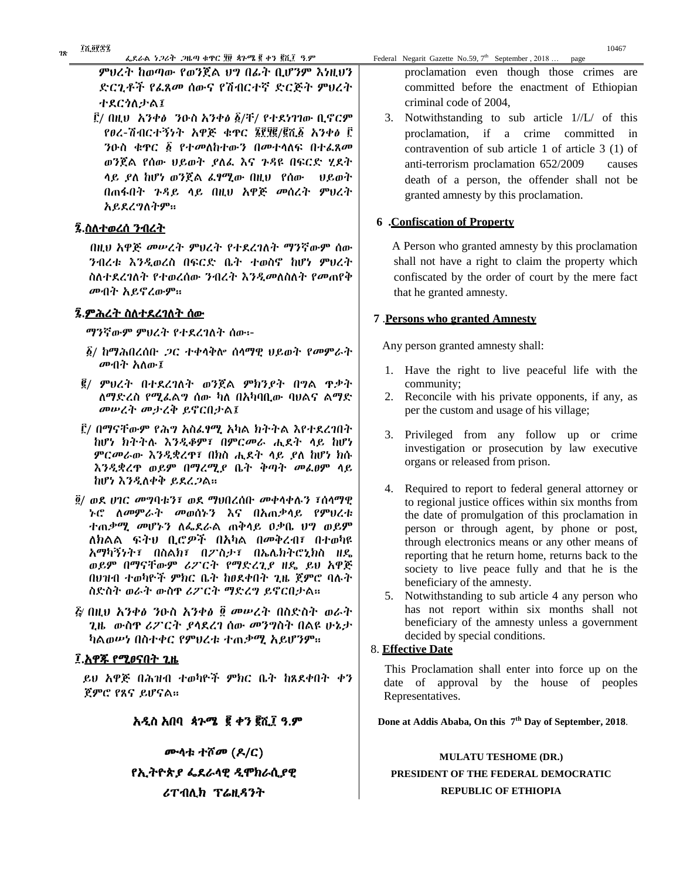ምህረት ከወጣው የወንጀል ህግ በፊት ቢሆንም እነዚህን ድርጊቶች የፈጸመ ሰውና የሽብርተኛ ድርጅት ምህረት ተደርጎለታል፤

 ፫/ በዚህ አንቀፅ ንዑስ አንቀፅ ፩/ቸ/ የተደነገገው ቢኖርም የፀረ-ሽብርተኝነት አዋጅ ቁጥር ፮፻፶፪/፪ሺ፩ አንቀፅ ፫ ንዑስ ቁጥር ፩ የተመለከተውን በመተላለፍ በተፈጸመ ወንጀል የሰው ህይወት ያለፈ እና ጉዳዩ በፍርድ ሂደት ላይ ያለ ከሆነ ወንጀል ፈፃሚው በዚህ የሰው ህይወት በጠፋበት ጉዳይ ላይ በዚህ አዋጅ መሰረት ምህረት አይደረግለትም፡፡

# ፯.ስለተወረሰ ንብረት

 በዚህ አዋጅ መሠረት ምህረት የተደረገለት ማንኛውም ሰው ንብረቱ እንዲወረስ በፍርድ ቤት ተወስኖ ከሆነ ምህረት ስለተደረገለት የተወረሰው ንብረት እንዲመለስለት የመጠየቅ መብት አይኖረውም፡፡

#### ፯.ምሕረት ስለተደረገለት ሰው

ማንኛውም ምህረት የተደረገለት ሰው፡-

- ፩/ ከማሕበረሰቡ ጋር ተቀላቅሎ ሰላማዊ ህይወት የመምራት መብት አለው፤
- ፪/ ምህረት በተደረገለት ወንጀል ምክንያት በግል ጥቃት ለማድረስ የሚፈልግ ሰው ካለ በአካባቢው ባህልና ልማድ መሠረት መታረቅ ይኖርበታል፤
- ፫/ በማናቸውም የሕግ አስፈፃሚ አካል ክትትል እየተደረገበት ከሆነ ክትትሉ እንዲቆም፣ በምርመራ ሒደት ላይ ከሆነ ምርመራው እንዲቋረጥ፣ በክስ ሒደት ላይ ያለ ከሆነ ክሱ እንዲቋረጥ ወይም በማረሚያ ቤት ቅጣት መፈፀም ላይ ከሆነ እንዲለቀቅ ይደረጋል፡፡
- ፬/ ወደ ሀገር መግባቱን፣ ወደ ማህበረሰቡ መቀላቀሉን ፣ሰላማዊ ኑሮ ለመምራት መወሰኑን እና በአጠቃላይ የምህረቱ ተጠቃሚ መሆኑን ለፌደራል ጠቅላይ ዐቃቤ ህግ ወይም ለክልል ፍትህ ቢሮዎች በአካል በመቅረብ፣ በተወካዩ አማካኝነት፣ በስልክ፣ በፖስታ፣ በኤሌክትሮኒክስ ዘዴ ወይም በማናቸውም ሪፖርት የማድረጊያ ዘዴ ይህ አዋጅ በህዝብ ተወካዮች ምክር ቤት ከፀደቀበት ጊዜ ጀምሮ ባሉት ስድስት ወራት ውስጥ ሪፖርት ማድረግ ይኖርበታል፡፡
- ፭ በዚህ አንቀፅ ንዑስ አንቀፅ መሠረት በስድስት ወራት ጊዜ ውስጥ ሪፖርት ያላደረገ ሰው መንግስት በልዩ ሁኔታ ካልወሠነ በስተቀር የምህረቱ ተጠቃሚ አይሆንም፡፡

#### ፲.አዋጁ የሚፀናበት ጊዜ

 ይህ አዋጅ በሕዝብ ተወካዮች ምክር ቤት ከጸደቀበት ቀን ጀምሮ የጸና ይሆናል፡፡

#### አዲስ አበባ ጳጉሜ ፪ ቀን ፪ሺ፲ ዓ.ም

ሙላቱ ተሾመ (ዶ/ር) የኢትዮጵያ ፌደራላዊ ዲሞክራሲያዊ ሪፐብሊክ ፕሬዚዳንት

proclamation even though those crimes are committed before the enactment of Ethiopian criminal code of 2004,

<sup>th</sup> September, 2018 ... page

3. Notwithstanding to sub article 1//L/ of this proclamation, if a crime committed in contravention of sub article 1 of article 3 (1) of anti-terrorism proclamation 652/2009 causes death of a person, the offender shall not be granted amnesty by this proclamation.

#### **6 .Confiscation of Property**

 A Person who granted amnesty by this proclamation shall not have a right to claim the property which confiscated by the order of court by the mere fact that he granted amnesty.

#### **7** .**Persons who granted Amnesty**

Any person granted amnesty shall:

- 1. Have the right to live peaceful life with the community;
- 2. Reconcile with his private opponents, if any, as per the custom and usage of his village;
- 3. Privileged from any follow up or crime investigation or prosecution by law executive organs or released from prison.
- 4. Required to report to federal general attorney or to regional justice offices within six months from the date of promulgation of this proclamation in person or through agent, by phone or post, through electronics means or any other means of reporting that he return home, returns back to the society to live peace fully and that he is the beneficiary of the amnesty.
- 5. Notwithstanding to sub article 4 any person who has not report within six months shall not beneficiary of the amnesty unless a government decided by special conditions.

#### 8. **Effective Date**

This Proclamation shall enter into force up on the date of approval by the house of peoples Representatives.

**1** Done at Addis Ababa, On this  $7<sup>th</sup>$  Day of September, 2018.

**MULATU TESHOME (DR.) PRESIDENT OF THE FEDERAL DEMOCRATIC REPUBLIC OF ETHIOPIA**